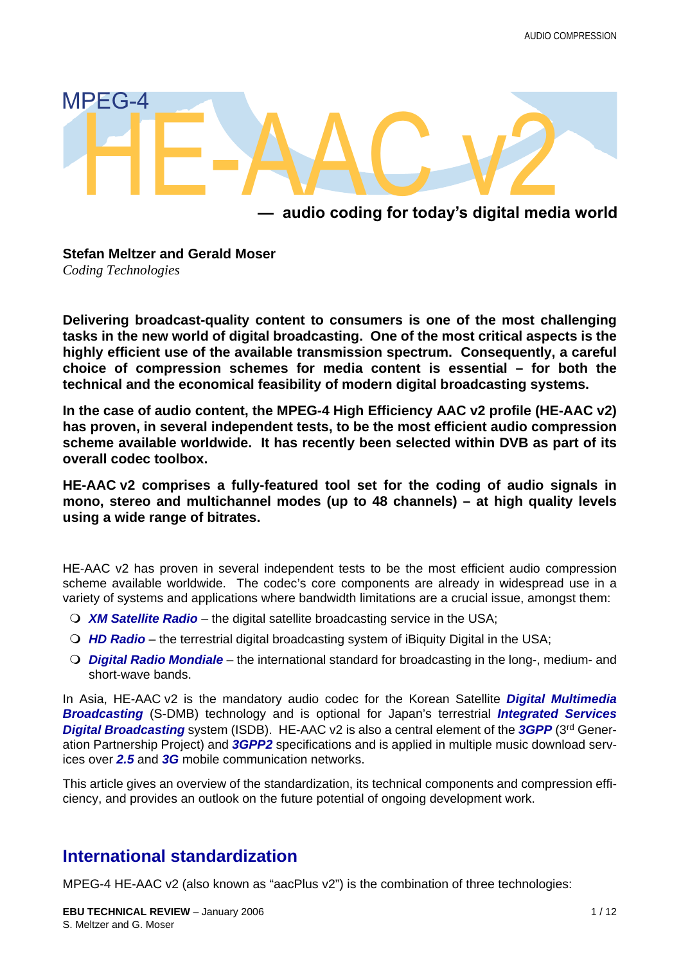

### **— audio coding for today's digital media world**

**Stefan Meltzer and Gerald Moser** *Coding Technologies*

**Delivering broadcast-quality content to consumers is one of the most challenging tasks in the new world of digital broadcasting. One of the most critical aspects is the highly efficient use of the available transmission spectrum. Consequently, a careful choice of compression schemes for media content is essential – for both the technical and the economical feasibility of modern digital broadcasting systems.**

**In the case of audio content, the MPEG-4 High Efficiency AAC v2 profile (HE-AAC v2) has proven, in several independent tests, to be the most efficient audio compression scheme available worldwide. It has recently been selected within DVB as part of its overall codec toolbox.**

**HE-AAC v2 comprises a fully-featured tool set for the coding of audio signals in mono, stereo and multichannel modes (up to 48 channels) – at high quality levels using a wide range of bitrates.**

HE-AAC v2 has proven in several independent tests to be the most efficient audio compression scheme available worldwide. The codec's core components are already in widespread use in a variety of systems and applications where bandwidth limitations are a crucial issue, amongst them:

- *XM Satellite Radio* the digital satellite broadcasting service in the USA;
- *HD Radio* the terrestrial digital broadcasting system of iBiquity Digital in the USA;
- *Digital Radio Mondiale* the international standard for broadcasting in the long-, medium- and short-wave bands.

In Asia, HE-AAC v2 is the mandatory audio codec for the Korean Satellite *Digital Multimedia Broadcasting* (S-DMB) technology and is optional for Japan's terrestrial *Integrated Services Digital Broadcasting* system (ISDB). HE-AAC v2 is also a central element of the *3GPP* (3rd Generation Partnership Project) and *3GPP2* specifications and is applied in multiple music download services over *2.5* and *3G* mobile communication networks.

This article gives an overview of the standardization, its technical components and compression efficiency, and provides an outlook on the future potential of ongoing development work.

## **International standardization**

MPEG-4 HE-AAC v2 (also known as "aacPlus v2") is the combination of three technologies: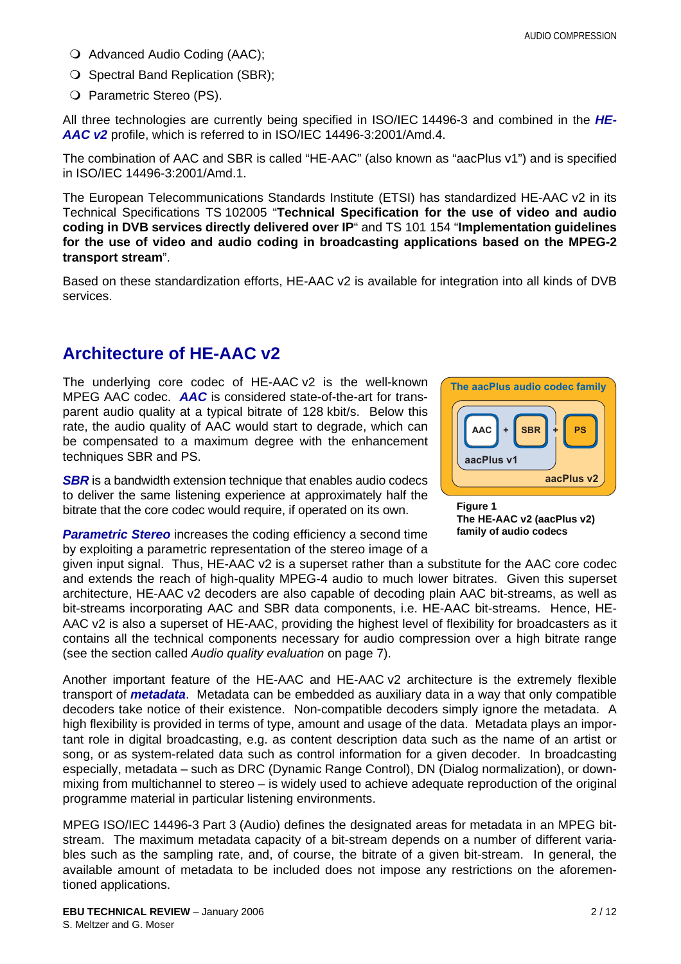- O Advanced Audio Coding (AAC);
- O Spectral Band Replication (SBR);
- O Parametric Stereo (PS).

All three technologies are currently being specified in ISO/IEC 14496-3 and combined in the *HE-AAC v2* profile, which is referred to in ISO/IEC 14496-3:2001/Amd.4.

The combination of AAC and SBR is called "HE-AAC" (also known as "aacPlus v1") and is specified in ISO/IEC 14496-3:2001/Amd.1.

The European Telecommunications Standards Institute (ETSI) has standardized HE-AAC v2 in its Technical Specifications TS 102005 "**Technical Specification for the use of video and audio coding in DVB services directly delivered over IP**" and TS 101 154 "**Implementation guidelines for the use of video and audio coding in broadcasting applications based on the MPEG-2 transport stream**".

Based on these standardization efforts, HE-AAC v2 is available for integration into all kinds of DVB services.

## **Architecture of HE-AAC v2**

The underlying core codec of HE-AAC v2 is the well-known MPEG AAC codec. *AAC* is considered state-of-the-art for transparent audio quality at a typical bitrate of 128 kbit/s. Below this rate, the audio quality of AAC would start to degrade, which can be compensated to a maximum degree with the enhancement techniques SBR and PS.

**SBR** is a bandwidth extension technique that enables audio codecs to deliver the same listening experience at approximately half the bitrate that the core codec would require, if operated on its own.

**Parametric Stereo** increases the coding efficiency a second time by exploiting a parametric representation of the stereo image of a

given input signal. Thus, HE-AAC v2 is a superset rather than a substitute for the AAC core codec and extends the reach of high-quality MPEG-4 audio to much lower bitrates. Given this superset architecture, HE-AAC v2 decoders are also capable of decoding plain AAC bit-streams, as well as bit-streams incorporating AAC and SBR data components, i.e. HE-AAC bit-streams. Hence, HE-AAC v2 is also a superset of HE-AAC, providing the highest level of flexibility for broadcasters as it contains all the technical components necessary for audio compression over a high bitrate range (see the section called *[Audio quality evaluation](#page-6-0)* on page [7](#page-6-0)).

Another important feature of the HE-AAC and HE-AAC v2 architecture is the extremely flexible transport of *metadata*. Metadata can be embedded as auxiliary data in a way that only compatible decoders take notice of their existence. Non-compatible decoders simply ignore the metadata. A high flexibility is provided in terms of type, amount and usage of the data. Metadata plays an important role in digital broadcasting, e.g. as content description data such as the name of an artist or song, or as system-related data such as control information for a given decoder. In broadcasting especially, metadata – such as DRC (Dynamic Range Control), DN (Dialog normalization), or downmixing from multichannel to stereo – is widely used to achieve adequate reproduction of the original programme material in particular listening environments.

MPEG ISO/IEC 14496-3 Part 3 (Audio) defines the designated areas for metadata in an MPEG bitstream. The maximum metadata capacity of a bit-stream depends on a number of different variables such as the sampling rate, and, of course, the bitrate of a given bit-stream. In general, the available amount of metadata to be included does not impose any restrictions on the aforementioned applications.





**Figure 1 The HE-AAC v2 (aacPlus v2) family of audio codecs**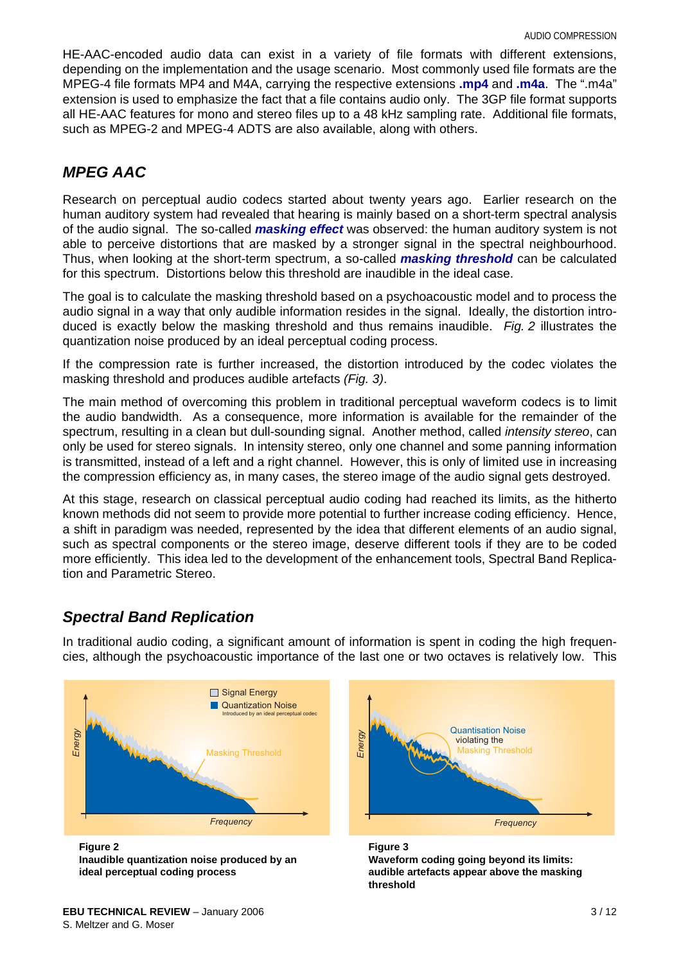HE-AAC-encoded audio data can exist in a variety of file formats with different extensions, depending on the implementation and the usage scenario. Most commonly used file formats are the MPEG-4 file formats MP4 and M4A, carrying the respective extensions **.mp4** and **.m4a**. The ".m4a" extension is used to emphasize the fact that a file contains audio only. The 3GP file format supports all HE-AAC features for mono and stereo files up to a 48 kHz sampling rate. Additional file formats, such as MPEG-2 and MPEG-4 ADTS are also available, along with others.

### *MPEG AAC*

Research on perceptual audio codecs started about twenty years ago. Earlier research on the human auditory system had revealed that hearing is mainly based on a short-term spectral analysis of the audio signal. The so-called *masking effect* was observed: the human auditory system is not able to perceive distortions that are masked by a stronger signal in the spectral neighbourhood. Thus, when looking at the short-term spectrum, a so-called *masking threshold* can be calculated for this spectrum. Distortions below this threshold are inaudible in the ideal case.

The goal is to calculate the masking threshold based on a psychoacoustic model and to process the audio signal in a way that only audible information resides in the signal. Ideally, the distortion introduced is exactly below the masking threshold and thus remains inaudible. *Fig. 2* illustrates the quantization noise produced by an ideal perceptual coding process.

If the compression rate is further increased, the distortion introduced by the codec violates the masking threshold and produces audible artefacts *(Fig. 3)*.

The main method of overcoming this problem in traditional perceptual waveform codecs is to limit the audio bandwidth. As a consequence, more information is available for the remainder of the spectrum, resulting in a clean but dull-sounding signal. Another method, called *intensity stereo*, can only be used for stereo signals. In intensity stereo, only one channel and some panning information is transmitted, instead of a left and a right channel. However, this is only of limited use in increasing the compression efficiency as, in many cases, the stereo image of the audio signal gets destroyed.

At this stage, research on classical perceptual audio coding had reached its limits, as the hitherto known methods did not seem to provide more potential to further increase coding efficiency. Hence, a shift in paradigm was needed, represented by the idea that different elements of an audio signal, such as spectral components or the stereo image, deserve different tools if they are to be coded more efficiently. This idea led to the development of the enhancement tools, Spectral Band Replication and Parametric Stereo.

## *Spectral Band Replication*

In traditional audio coding, a significant amount of information is spent in coding the high frequencies, although the psychoacoustic importance of the last one or two octaves is relatively low. This



**EBU TECHNICAL REVIEW** – January 2006 **3/12** S. Meltzer and G. Moser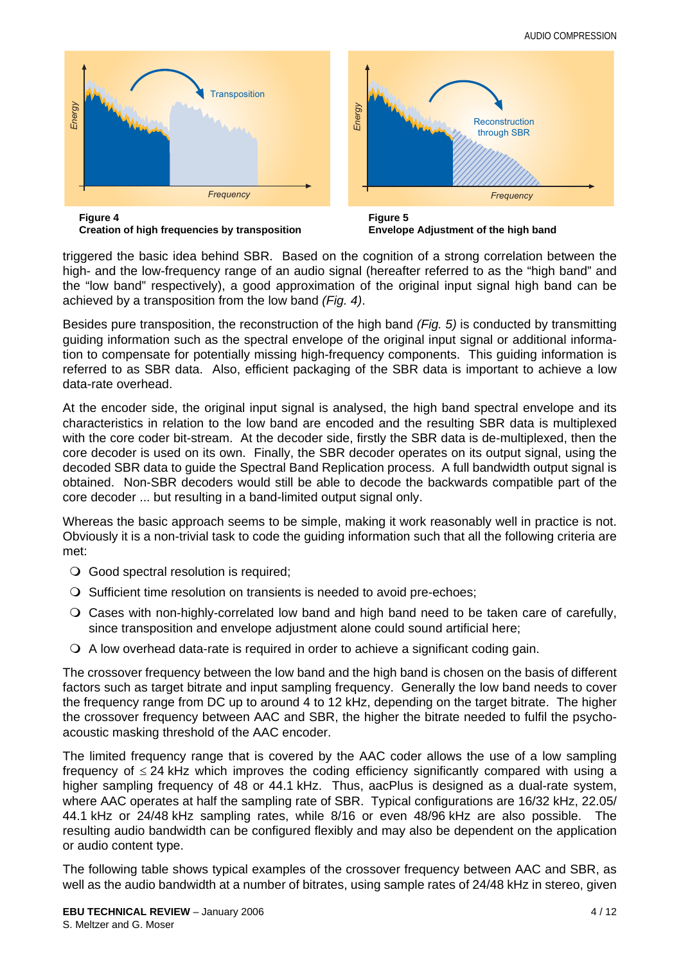

**Creation of high frequencies by transposition**



triggered the basic idea behind SBR. Based on the cognition of a strong correlation between the high- and the low-frequency range of an audio signal (hereafter referred to as the "high band" and the "low band" respectively), a good approximation of the original input signal high band can be achieved by a transposition from the low band *(Fig. 4)*.

Besides pure transposition, the reconstruction of the high band *(Fig. 5)* is conducted by transmitting guiding information such as the spectral envelope of the original input signal or additional information to compensate for potentially missing high-frequency components. This guiding information is referred to as SBR data. Also, efficient packaging of the SBR data is important to achieve a low data-rate overhead.

At the encoder side, the original input signal is analysed, the high band spectral envelope and its characteristics in relation to the low band are encoded and the resulting SBR data is multiplexed with the core coder bit-stream. At the decoder side, firstly the SBR data is de-multiplexed, then the core decoder is used on its own. Finally, the SBR decoder operates on its output signal, using the decoded SBR data to guide the Spectral Band Replication process. A full bandwidth output signal is obtained. Non-SBR decoders would still be able to decode the backwards compatible part of the core decoder ... but resulting in a band-limited output signal only.

Whereas the basic approach seems to be simple, making it work reasonably well in practice is not. Obviously it is a non-trivial task to code the guiding information such that all the following criteria are met:

- Good spectral resolution is required;
- $\bigcirc$  Sufficient time resolution on transients is needed to avoid pre-echoes;
- Cases with non-highly-correlated low band and high band need to be taken care of carefully, since transposition and envelope adjustment alone could sound artificial here;
- A low overhead data-rate is required in order to achieve a significant coding gain.

The crossover frequency between the low band and the high band is chosen on the basis of different factors such as target bitrate and input sampling frequency. Generally the low band needs to cover the frequency range from DC up to around 4 to 12 kHz, depending on the target bitrate. The higher the crossover frequency between AAC and SBR, the higher the bitrate needed to fulfil the psychoacoustic masking threshold of the AAC encoder.

The limited frequency range that is covered by the AAC coder allows the use of a low sampling frequency of ≤ 24 kHz which improves the coding efficiency significantly compared with using a higher sampling frequency of 48 or 44.1 kHz. Thus, aacPlus is designed as a dual-rate system, where AAC operates at half the sampling rate of SBR. Typical configurations are 16/32 kHz, 22.05/ 44.1 kHz or 24/48 kHz sampling rates, while 8/16 or even 48/96 kHz are also possible. The resulting audio bandwidth can be configured flexibly and may also be dependent on the application or audio content type.

The following table shows typical examples of the crossover frequency between AAC and SBR, as well as the audio bandwidth at a number of bitrates, using sample rates of 24/48 kHz in stereo, given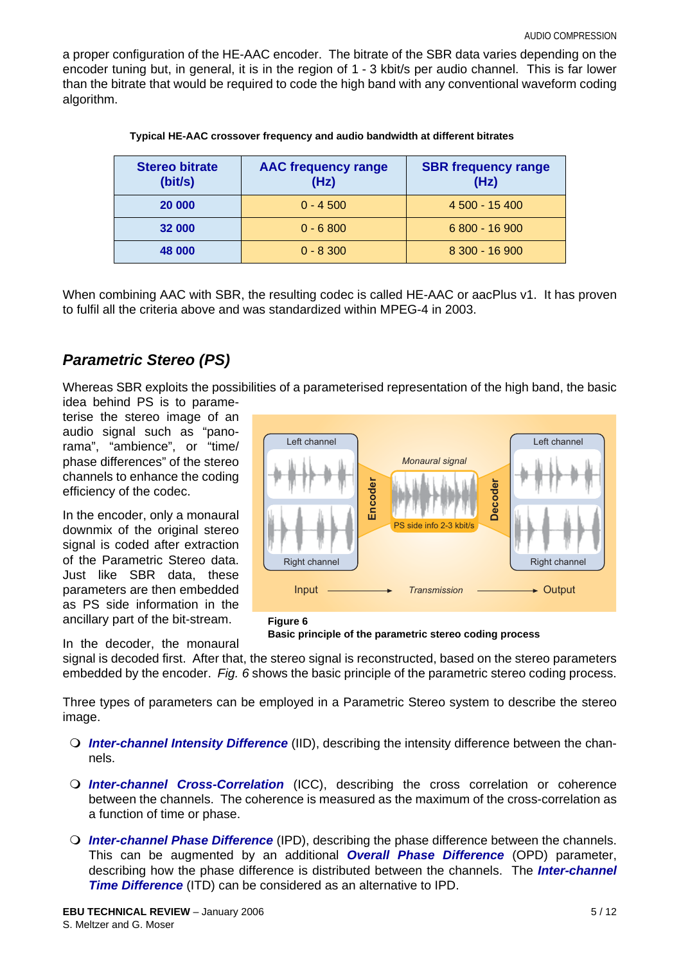a proper configuration of the HE-AAC encoder. The bitrate of the SBR data varies depending on the encoder tuning but, in general, it is in the region of 1 - 3 kbit/s per audio channel. This is far lower than the bitrate that would be required to code the high band with any conventional waveform coding algorithm.

| <b>Stereo bitrate</b><br>(bit/s) | <b>AAC frequency range</b><br>(Hz) | <b>SBR frequency range</b><br>(Hz) |
|----------------------------------|------------------------------------|------------------------------------|
| 20 000                           | $0 - 4500$                         | 4 500 - 15 400                     |
| 32 000                           | $0 - 6800$                         | 6 800 - 16 900                     |
| 48 000                           | $0 - 8300$                         | $8300 - 16900$                     |

When combining AAC with SBR, the resulting codec is called HE-AAC or aacPlus v1. It has proven to fulfil all the criteria above and was standardized within MPEG-4 in 2003.

### *Parametric Stereo (PS)*

Whereas SBR exploits the possibilities of a parameterised representation of the high band, the basic idea behind PS is to parame-

terise the stereo image of an audio signal such as "panorama", "ambience", or "time/ phase differences" of the stereo channels to enhance the coding efficiency of the codec.

In the encoder, only a monaural downmix of the original stereo signal is coded after extraction of the Parametric Stereo data. Just like SBR data, these parameters are then embedded as PS side information in the ancillary part of the bit-stream.

In the decoder, the monaural





signal is decoded first. After that, the stereo signal is reconstructed, based on the stereo parameters embedded by the encoder. *Fig. 6* shows the basic principle of the parametric stereo coding process.

Three types of parameters can be employed in a Parametric Stereo system to describe the stereo image.

- *Inter-channel Intensity Difference* (IID), describing the intensity difference between the channels.
- *Inter-channel Cross-Correlation* (ICC), describing the cross correlation or coherence between the channels. The coherence is measured as the maximum of the cross-correlation as a function of time or phase.
- *Inter-channel Phase Difference* (IPD), describing the phase difference between the channels. This can be augmented by an additional *Overall Phase Difference* (OPD) parameter, describing how the phase difference is distributed between the channels. The *Inter-channel Time Difference* (ITD) can be considered as an alternative to IPD.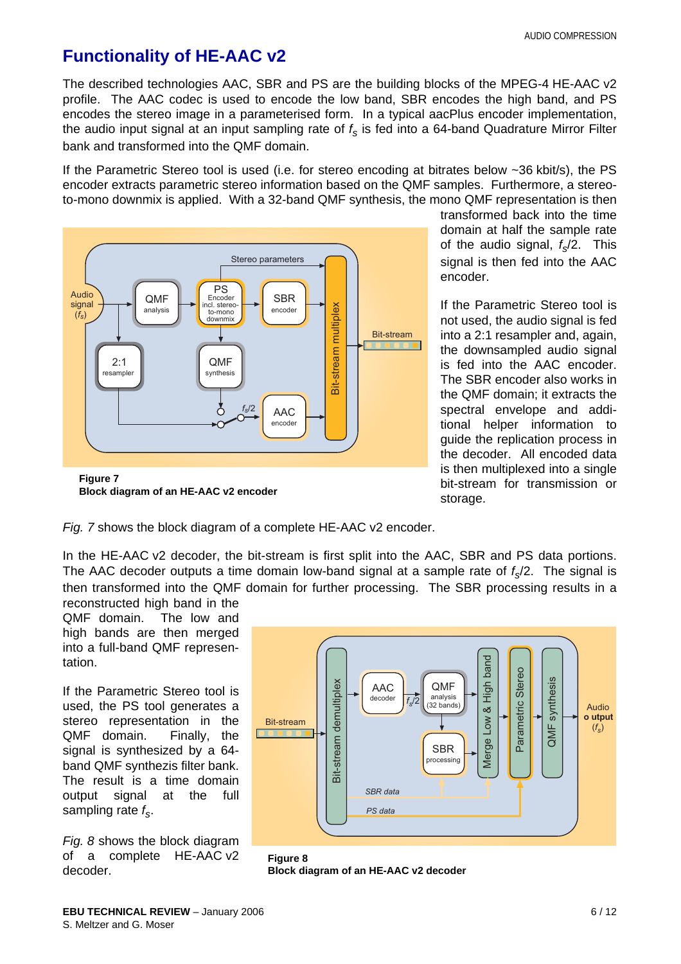# **Functionality of HE-AAC v2**

The described technologies AAC, SBR and PS are the building blocks of the MPEG-4 HE-AAC v2 profile. The AAC codec is used to encode the low band, SBR encodes the high band, and PS encodes the stereo image in a parameterised form. In a typical aacPlus encoder implementation, the audio input signal at an input sampling rate of  $f_s$  is fed into a 64-band Quadrature Mirror Filter bank and transformed into the QMF domain.

If the Parametric Stereo tool is used (i.e. for stereo encoding at bitrates below ~36 kbit/s), the PS encoder extracts parametric stereo information based on the QMF samples. Furthermore, a stereoto-mono downmix is applied. With a 32-band QMF synthesis, the mono QMF representation is then



transformed back into the time domain at half the sample rate of the audio signal,  $f_s/2$ . This signal is then fed into the AAC encoder.

If the Parametric Stereo tool is not used, the audio signal is fed into a 2:1 resampler and, again, the downsampled audio signal is fed into the AAC encoder. The SBR encoder also works in the QMF domain; it extracts the spectral envelope and additional helper information to guide the replication process in the decoder. All encoded data is then multiplexed into a single bit-stream for transmission or storage.

*Fig. 7* shows the block diagram of a complete HE-AAC v2 encoder.

In the HE-AAC v2 decoder, the bit-stream is first split into the AAC, SBR and PS data portions. The AAC decoder outputs a time domain low-band signal at a sample rate of  $f<sub>n</sub>/2$ . The signal is then transformed into the QMF domain for further processing. The SBR processing results in a

reconstructed high band in the QMF domain. The low and high bands are then merged into a full-band QMF representation.

If the Parametric Stereo tool is used, the PS tool generates a stereo representation in the QMF domain. Finally, the signal is synthesized by a 64 band QMF synthezis filter bank. The result is a time domain output signal at the full sampling rate *fs*.

*Fig. 8* shows the block diagram of a complete HE-AAC v2 decoder.



**Figure 8 Block diagram of an HE-AAC v2 decoder**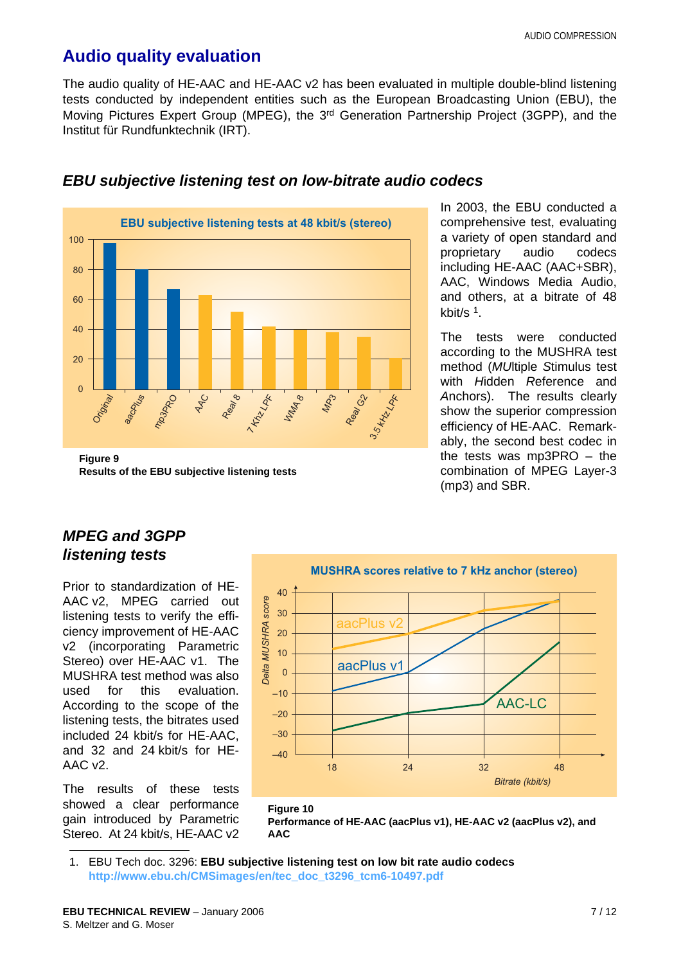# <span id="page-6-0"></span>**Audio quality evaluation**

The audio quality of HE-AAC and HE-AAC v2 has been evaluated in multiple double-blind listening tests conducted by independent entities such as the European Broadcasting Union (EBU), the Moving Pictures Expert Group (MPEG), the 3rd Generation Partnership Project (3GPP), and the Institut für Rundfunktechnik (IRT).



#### *EBU subjective listening test on low-bitrate audio codecs*

**Results of the EBU subjective listening tests**

In 2003, the EBU conducted a comprehensive test, evaluating a variety of open standard and proprietary audio codecs including HE-AAC (AAC+SBR), AAC, Windows Media Audio, and others, at a bitrate of 48 kbit/s 1.

The tests were conducted according to the MUSHRA test method (*MU*ltiple *S*timulus test with *H*idden *R*eference and *A*nchors). The results clearly show the superior compression efficiency of HE-AAC. Remarkably, the second best codec in the tests was mp3PRO – the combination of MPEG Layer-3 (mp3) and SBR.

## *MPEG and 3GPP listening tests*

Prior to standardization of HE-AAC v2, MPEG carried out listening tests to verify the efficiency improvement of HE-AAC v2 (incorporating Parametric Stereo) over HE-AAC v1. The MUSHRA test method was also used for this evaluation. According to the scope of the listening tests, the bitrates used included 24 kbit/s for HE-AAC, and 32 and 24 kbit/s for HE-AAC v2.

The results of these tests showed a clear performance gain introduced by Parametric Stereo. At 24 kbit/s, HE-AAC v2





<sup>1.</sup> EBU Tech doc. 3296: **EBU subjective listening test on low bit rate audio codecs [http://www.ebu.ch/CMSimages/en/tec\\_doc\\_t3296\\_tcm6-10497.pdf](http://www.ebu.ch/CMSimages/en/tec_doc_t3296_tcm6-10497.pdf)**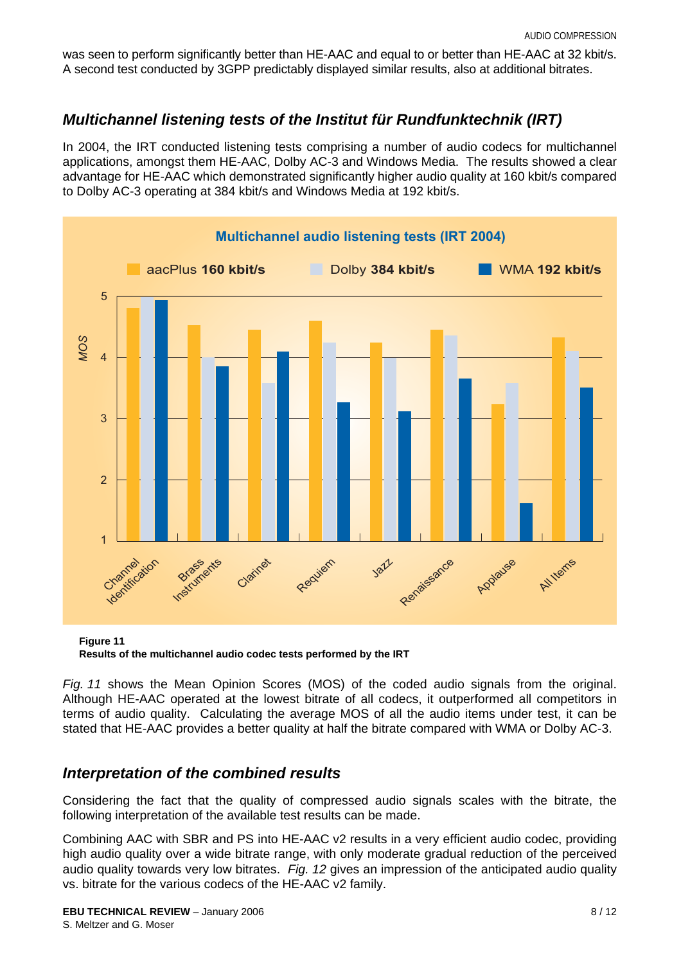was seen to perform significantly better than HE-AAC and equal to or better than HE-AAC at 32 kbit/s. A second test conducted by 3GPP predictably displayed similar results, also at additional bitrates.

### *Multichannel listening tests of the Institut für Rundfunktechnik (IRT)*

In 2004, the IRT conducted listening tests comprising a number of audio codecs for multichannel applications, amongst them HE-AAC, Dolby AC-3 and Windows Media. The results showed a clear advantage for HE-AAC which demonstrated significantly higher audio quality at 160 kbit/s compared to Dolby AC-3 operating at 384 kbit/s and Windows Media at 192 kbit/s.



**Figure 11 Results of the multichannel audio codec tests performed by the IRT**

*Fig. 11* shows the Mean Opinion Scores (MOS) of the coded audio signals from the original. Although HE-AAC operated at the lowest bitrate of all codecs, it outperformed all competitors in terms of audio quality. Calculating the average MOS of all the audio items under test, it can be stated that HE-AAC provides a better quality at half the bitrate compared with WMA or Dolby AC-3.

#### *Interpretation of the combined results*

Considering the fact that the quality of compressed audio signals scales with the bitrate, the following interpretation of the available test results can be made.

Combining AAC with SBR and PS into HE-AAC v2 results in a very efficient audio codec, providing high audio quality over a wide bitrate range, with only moderate gradual reduction of the perceived audio quality towards very low bitrates. *Fig. 12* gives an impression of the anticipated audio quality vs. bitrate for the various codecs of the HE-AAC v2 family.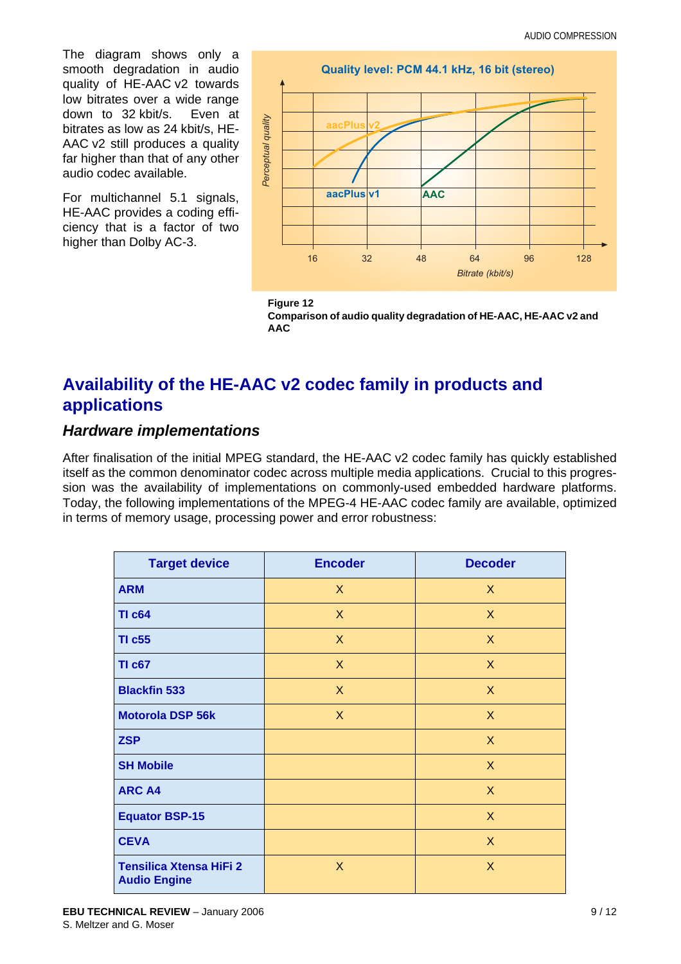The diagram shows only a smooth degradation in audio quality of HE-AAC v2 towards low bitrates over a wide range down to 32 kbit/s. Even at bitrates as low as 24 kbit/s, HE-AAC v2 still produces a quality far higher than that of any other audio codec available.

For multichannel 5.1 signals, HE-AAC provides a coding efficiency that is a factor of two higher than Dolby AC-3.





# **Availability of the HE-AAC v2 codec family in products and applications**

#### *Hardware implementations*

After finalisation of the initial MPEG standard, the HE-AAC v2 codec family has quickly established itself as the common denominator codec across multiple media applications. Crucial to this progression was the availability of implementations on commonly-used embedded hardware platforms. Today, the following implementations of the MPEG-4 HE-AAC codec family are available, optimized in terms of memory usage, processing power and error robustness:

| <b>Target device</b>                                  | <b>Encoder</b> | <b>Decoder</b>   |
|-------------------------------------------------------|----------------|------------------|
| <b>ARM</b>                                            | $\mathsf{X}$   | X                |
| <b>TI c64</b>                                         | X              | X                |
| <b>TI c55</b>                                         | X              | X                |
| <b>TI c67</b>                                         | $\mathsf{X}$   | $\boldsymbol{X}$ |
| <b>Blackfin 533</b>                                   | X              | X                |
| <b>Motorola DSP 56k</b>                               | X              | X                |
| <b>ZSP</b>                                            |                | X                |
| <b>SH Mobile</b>                                      |                | X                |
| <b>ARC A4</b>                                         |                | X                |
| <b>Equator BSP-15</b>                                 |                | X                |
| <b>CEVA</b>                                           |                | X                |
| <b>Tensilica Xtensa HiFi 2</b><br><b>Audio Engine</b> | X              | X                |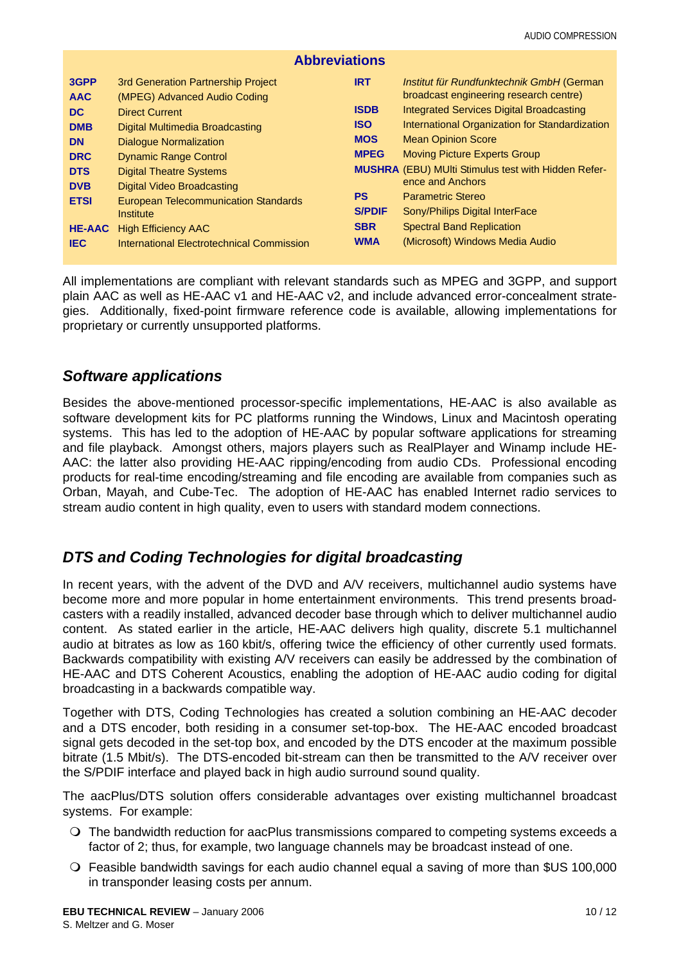| <b>Abbreviations</b>      |                                                                           |                             |                                                                                                                       |  |  |  |
|---------------------------|---------------------------------------------------------------------------|-----------------------------|-----------------------------------------------------------------------------------------------------------------------|--|--|--|
| 3GPP<br><b>AAC</b>        | 3rd Generation Partnership Project<br>(MPEG) Advanced Audio Coding        | <b>IRT</b>                  | Institut für Rundfunktechnik GmbH (German<br>broadcast engineering research centre)                                   |  |  |  |
| DC.<br><b>DMB</b>         | <b>Direct Current</b><br>Digital Multimedia Broadcasting                  | <b>ISDB</b><br><b>ISO</b>   | <b>Integrated Services Digital Broadcasting</b><br>International Organization for Standardization                     |  |  |  |
| <b>DN</b>                 | <b>Dialogue Normalization</b>                                             | <b>MOS</b><br><b>MPEG</b>   | <b>Mean Opinion Score</b>                                                                                             |  |  |  |
| <b>DRC</b><br><b>DTS</b>  | <b>Dynamic Range Control</b><br><b>Digital Theatre Systems</b>            |                             | <b>Moving Picture Experts Group</b><br><b>MUSHRA</b> (EBU) MUlti Stimulus test with Hidden Refer-<br>ence and Anchors |  |  |  |
| <b>DVB</b><br><b>ETSI</b> | Digital Video Broadcasting<br><b>European Telecommunication Standards</b> | <b>PS</b>                   | <b>Parametric Stereo</b>                                                                                              |  |  |  |
| <b>HE-AAC</b>             | Institute<br><b>High Efficiency AAC</b>                                   | <b>S/PDIF</b><br><b>SBR</b> | Sony/Philips Digital InterFace<br><b>Spectral Band Replication</b>                                                    |  |  |  |
| <b>IEC</b>                | International Electrotechnical Commission                                 | <b>WMA</b>                  | (Microsoft) Windows Media Audio                                                                                       |  |  |  |

All implementations are compliant with relevant standards such as MPEG and 3GPP, and support plain AAC as well as HE-AAC v1 and HE-AAC v2, and include advanced error-concealment strategies. Additionally, fixed-point firmware reference code is available, allowing implementations for proprietary or currently unsupported platforms.

#### *Software applications*

Besides the above-mentioned processor-specific implementations, HE-AAC is also available as software development kits for PC platforms running the Windows, Linux and Macintosh operating systems. This has led to the adoption of HE-AAC by popular software applications for streaming and file playback. Amongst others, majors players such as RealPlayer and Winamp include HE-AAC: the latter also providing HE-AAC ripping/encoding from audio CDs. Professional encoding products for real-time encoding/streaming and file encoding are available from companies such as Orban, Mayah, and Cube-Tec. The adoption of HE-AAC has enabled Internet radio services to stream audio content in high quality, even to users with standard modem connections.

#### *DTS and Coding Technologies for digital broadcasting*

In recent years, with the advent of the DVD and A/V receivers, multichannel audio systems have become more and more popular in home entertainment environments. This trend presents broadcasters with a readily installed, advanced decoder base through which to deliver multichannel audio content. As stated earlier in the article, HE-AAC delivers high quality, discrete 5.1 multichannel audio at bitrates as low as 160 kbit/s, offering twice the efficiency of other currently used formats. Backwards compatibility with existing A/V receivers can easily be addressed by the combination of HE-AAC and DTS Coherent Acoustics, enabling the adoption of HE-AAC audio coding for digital broadcasting in a backwards compatible way.

Together with DTS, Coding Technologies has created a solution combining an HE-AAC decoder and a DTS encoder, both residing in a consumer set-top-box. The HE-AAC encoded broadcast signal gets decoded in the set-top box, and encoded by the DTS encoder at the maximum possible bitrate (1.5 Mbit/s). The DTS-encoded bit-stream can then be transmitted to the A/V receiver over the S/PDIF interface and played back in high audio surround sound quality.

The aacPlus/DTS solution offers considerable advantages over existing multichannel broadcast systems. For example:

- The bandwidth reduction for aacPlus transmissions compared to competing systems exceeds a factor of 2; thus, for example, two language channels may be broadcast instead of one.
- Feasible bandwidth savings for each audio channel equal a saving of more than \$US 100,000 in transponder leasing costs per annum.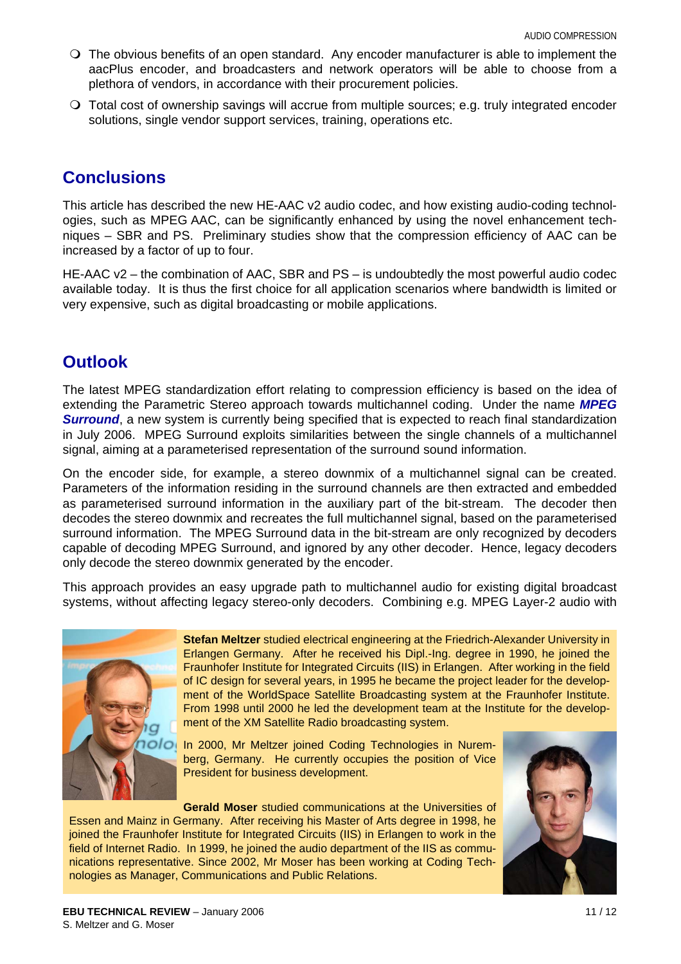- The obvious benefits of an open standard. Any encoder manufacturer is able to implement the aacPlus encoder, and broadcasters and network operators will be able to choose from a plethora of vendors, in accordance with their procurement policies.
- Total cost of ownership savings will accrue from multiple sources; e.g. truly integrated encoder solutions, single vendor support services, training, operations etc.

## **Conclusions**

This article has described the new HE-AAC v2 audio codec, and how existing audio-coding technologies, such as MPEG AAC, can be significantly enhanced by using the novel enhancement techniques – SBR and PS. Preliminary studies show that the compression efficiency of AAC can be increased by a factor of up to four.

HE-AAC v2 – the combination of AAC, SBR and PS – is undoubtedly the most powerful audio codec available today. It is thus the first choice for all application scenarios where bandwidth is limited or very expensive, such as digital broadcasting or mobile applications.

# **Outlook**

The latest MPEG standardization effort relating to compression efficiency is based on the idea of extending the Parametric Stereo approach towards multichannel coding. Under the name *MPEG* **Surround**, a new system is currently being specified that is expected to reach final standardization in July 2006. MPEG Surround exploits similarities between the single channels of a multichannel signal, aiming at a parameterised representation of the surround sound information.

On the encoder side, for example, a stereo downmix of a multichannel signal can be created. Parameters of the information residing in the surround channels are then extracted and embedded as parameterised surround information in the auxiliary part of the bit-stream. The decoder then decodes the stereo downmix and recreates the full multichannel signal, based on the parameterised surround information. The MPEG Surround data in the bit-stream are only recognized by decoders capable of decoding MPEG Surround, and ignored by any other decoder. Hence, legacy decoders only decode the stereo downmix generated by the encoder.

This approach provides an easy upgrade path to multichannel audio for existing digital broadcast systems, without affecting legacy stereo-only decoders. Combining e.g. MPEG Layer-2 audio with



**Stefan Meltzer** studied electrical engineering at the Friedrich-Alexander University in Erlangen Germany. After he received his Dipl.-Ing. degree in 1990, he joined the Fraunhofer Institute for Integrated Circuits (IIS) in Erlangen. After working in the field of IC design for several years, in 1995 he became the project leader for the development of the WorldSpace Satellite Broadcasting system at the Fraunhofer Institute. From 1998 until 2000 he led the development team at the Institute for the development of the XM Satellite Radio broadcasting system.

In 2000, Mr Meltzer joined Coding Technologies in Nuremberg, Germany. He currently occupies the position of Vice President for business development.

**Gerald Moser** studied communications at the Universities of Essen and Mainz in Germany. After receiving his Master of Arts degree in 1998, he joined the Fraunhofer Institute for Integrated Circuits (IIS) in Erlangen to work in the field of Internet Radio. In 1999, he joined the audio department of the IIS as communications representative. Since 2002, Mr Moser has been working at Coding Technologies as Manager, Communications and Public Relations.